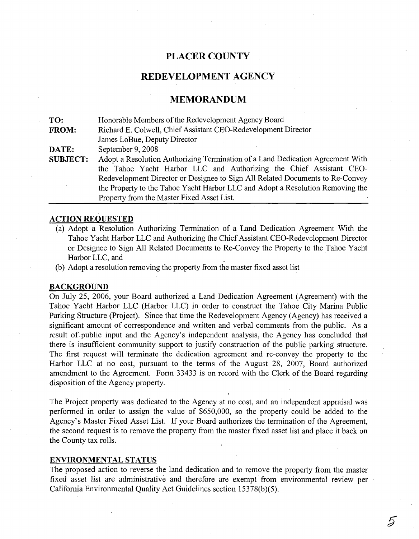## **PLACER COUNTY**

## REDEVELOPMENT AGENCY

### **MEMORANDUM**

**TO: FROM: DATE: SUBJECT:** Honorable Members of the Redevelopment Agency Board Richard E. Colwell, Chief Assistant CEO-Redevelopment Director James LoBue, Deputy Director September 9, 2008 Adopt a Resolution Authorizing Termination of a Land Dedication Agreement With the Tahoe Yacht Harbor LLC and Authorizing the Chief Assistant CEO-Redevelopment Director or Designee to Sign All Related Documents to Re-Convey the Property to the Tahoe Yacht Harbor LLC and Adopt a Resolution Removing the Property from the Master Fixed Asset List.

### **ACTION REQUESTED**

- (a) Adopt a Resolution Authorizing Termination of a Land Dedication Agreement With the Tahoe Yacht Harbor LLC and Authorizing the Chief Assistant CEO-Redevelopment Director or Designee to Sign All Related Documents to Re-Convey the Property to the Tahoe Yacht Harbor LLC, and
- (b) Adopt a resolution removing the property from the master fixed asset list

### **BACKGROUND**

On July 25, 2006, your Board authorized a Land Dedication Agreement (Agreement) with the Tahoe Yacht Harbor LLC (Harbor LLC) in order to construct the Tahoe City Marina Public Parking Structure (Project). Since that time the Redevelopment Agency (Agency) has received a significant amount of correspondence and written and verbal comments from the public. As a result of public input and the Agency's independent analysis, the Agency has concluded that there is insufficient community support to justify construction of the public parking structure. The first request will terminate the dedication agreement and re-convey the property to the Harbor LLC at no cost, pursuant to the terms of the August 28, 2007, Board authorized amendment to the Agreement. Form 33433 is on record with the Clerk of the Board regarding disposition of the Agency property.

The Project property was dedicated to the Agency at no cost, and an independent appraisal was performed in order to assign the value of \$650,000, so the property could be added to the Agency's Master Fixed Asset List. If your Board authorizes the termination of the Agreement, the second request is to remove the property from the master fixed asset list and place it back on the County tax rolls.

#### **ENVIRONMENTAL STATUS**

The proposed action to reverse the land dedication and to remove the property from the master fixed asset list are administrative and therefore are exempt from environmental review per California Environmental Quality Act Guidelines section 15378(b)(5).

5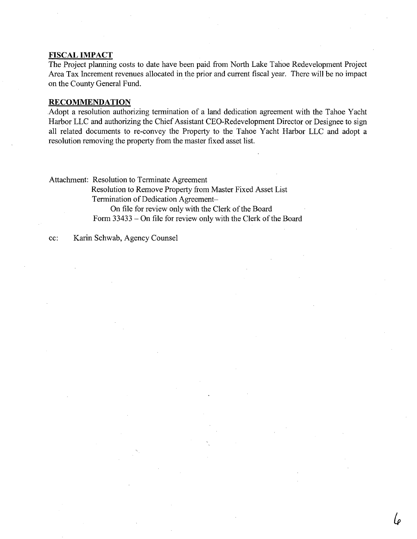#### **FISCAL IMPACT**

The Project planning costs to date have been paid from North Lake Tahoe Redevelopment Project Area Tax Increment revenues allocated in the prior and current fiscal year. There will be no impact on the County General Fund.

#### **RECOMMENDATION**

Adopt a resolution authorizing termination of a land dedication agreement with the Tahoe Yacht Harbor LLC and authorizing the Chief Assistant CEO-Redevelopment Director or Designee to sign all related documents to re-convey the Property to the Tahoe Yacht Harbor LLC and adopt a resolution removing the property from the master fixed asset list.

Attachment: Resolution to Terminate Agreement Resolution to Remove Property from Master Fixed Asset List Termination of Dedication Agreement-On file for review only with the Clerk of the Board Form 33433 - On file for review only with the Clerk of the Board

cc: Karin Schwab, Agency Counsel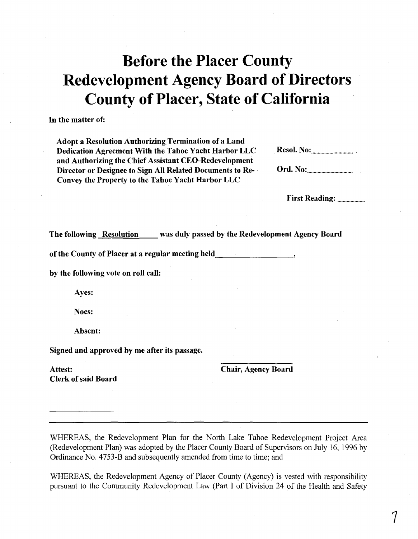# **Before the Placer County Redevelopment Agency Board of Directors County of Placer, State of California**

In the matter of:

Adopt a Resolution Authorizing Termination of a Land Dedication Agreement With the Tahoe Yacht Harbor LLC and Authorizing the Chief Assistant CEO-Redevelopment Director or Designee to Sign All Related Documents to Re-Convey the Property to the Tahoe Yacht Harbor LLC

| <b>Resol. No:</b> <u></u> |  |
|---------------------------|--|
|                           |  |

First Reading: ..

The following Resolution was duly passed by the Redevelopment Agency Board

of the County of Placer at a regular meeting held \_

by the following vote on roll call:

Ayes:

Noes:

Absent:

Signed and approved by me after its passage.

Attest: **Clerk of said Board**  Chair, Agency Board

WHEREAS, the Redevelopment Plan for the North Lake Tahoe Redevelopment Project Area (Redevelopment Plan) was adopted by the Placer County Board of Supervisors on July 16, 1996 by Ordinance No. 4753-B and subsequently amended from time to time; and

WHEREAS, the Redevelopment Agency of Placer County (Agency) is vested with responsibility pursuant to the Community Redevelopment Law (Part I of Division 24 of the Health and Safety

7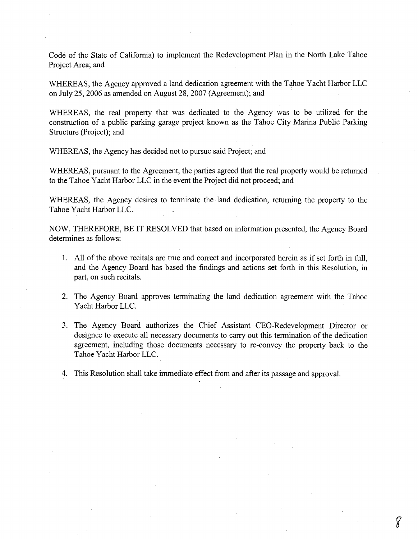Code of the State of California) to implement the Redevelopment Plan in the North Lake Tahoe Project Area; and

WHEREAS, the Agency approved a land dedication agreement with the Tahoe Yacht Harbor LLC on July 25, 2006 as amended on August 28, 2007 (Agreement); and

WHEREAS, the real property that was dedicated to the Agency was to be utilized for the construction of a public parking garage project known as the Tahoe City Marina Public Parking Structure (Project); and

WHEREAS, the Agency has decided not to pursue said Project; and

WHEREAS, pursuant to the Agreement, the parties agreed that the real property would be returned to the Tahoe Yacht Harbor LLC in the event the Project did not proceed; and

WHEREAS, the Agency desires to terminate the land dedication, returning the property to the Tahoe Yacht Harbor LLC.

NOW, THEREFORE, BE IT RESOLVED that based on information presented, the Agency Board determines as follows:

- 1. All of the above recitals are true and correct and incorporated herein as if set forth in full, and the Agency Board has based the findings and actions set forth in this Resolution, in part, on such recitals.
- 2. The Agency Board approves terminating the land dedication agreement with the Tahoe Yacht Harbor LLC.
- 3. The Agency Board authorizes the Chief Assistant CEO-Redevelopment Director or designee to execute all necessary documents to carry out this termination of the dedication agreement, including those documents necessary to re-convey the property back to the Tahoe Yacht Harbor LLC.
- 4. This Resolution shall take immediate effect from and after its passage and approval.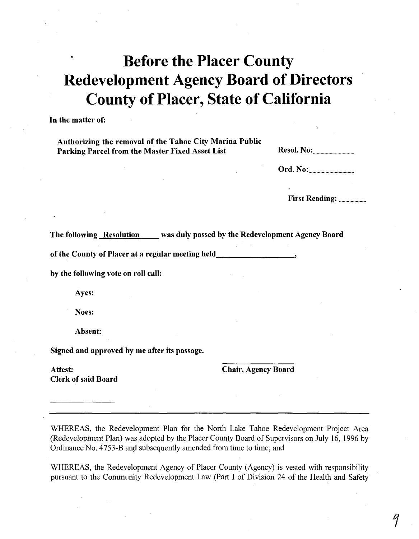# **Before the Placer County Redevelopment Agency Board of Directors County** of Placer, **State** of California

**In** the matter of:

Authorizing the removal of the Tahoe City Marina Public Parking Parcel from the Master Fixed Asset List

Ord. No: ..

First Reading: .

The following Resolution was duly passed by the Redevelopment Agency Board

of the County of Placer at a regular meeting held

by the following vote on roll call:

Ayes:

Noes:

Absent:

Signed and approved by me after its passage.

Attest: **Clerk of said Board**  Chair, Agency Board

WHEREAS, the Redevelopment Plan for the North Lake Tahoe Redevelopment Project Area (Redevelopment Plan) was adopted by the Placer County Board of Supervisors on July 16, 1996 by Ordinance No. 4753-B and subsequently amended from time to time; and

WHEREAS, the Redevelopment Agency of Placer County (Agency) is vested with responsibility pursuant to the Community Redevelopment Law (Part I of Division 24 of the Health and Safety